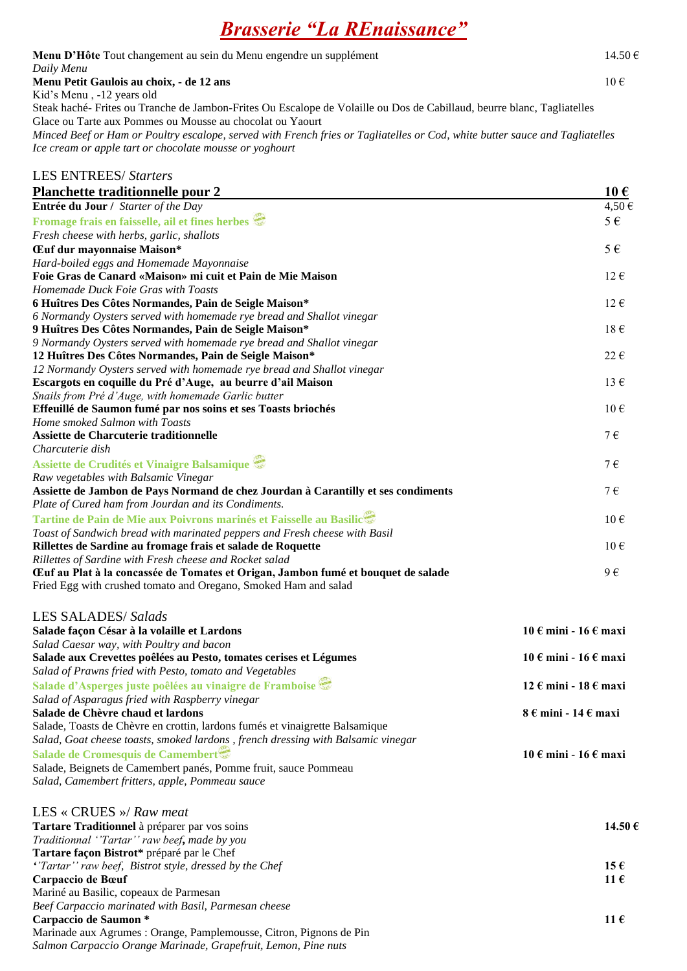## *Brasserie "La REnaissance"*

| Menu D'Hôte Tout changement au sein du Menu engendre un supplément                                                                                                                      | 14.50€                                    |
|-----------------------------------------------------------------------------------------------------------------------------------------------------------------------------------------|-------------------------------------------|
| Daily Menu<br>Menu Petit Gaulois au choix, - de 12 ans                                                                                                                                  | $10 \in$                                  |
| Kid's Menu, -12 years old                                                                                                                                                               |                                           |
| Steak haché-Frites ou Tranche de Jambon-Frites Ou Escalope de Volaille ou Dos de Cabillaud, beurre blanc, Tagliatelles                                                                  |                                           |
| Glace ou Tarte aux Pommes ou Mousse au chocolat ou Yaourt                                                                                                                               |                                           |
| Minced Beef or Ham or Poultry escalope, served with French fries or Tagliatelles or Cod, white butter sauce and Tagliatelles<br>Ice cream or apple tart or chocolate mousse or yoghourt |                                           |
|                                                                                                                                                                                         |                                           |
| <b>LES ENTREES/ Starters</b>                                                                                                                                                            |                                           |
| Planchette traditionnelle pour 2                                                                                                                                                        | $10 \text{ } \in$                         |
| Entrée du Jour / Starter of the Day                                                                                                                                                     | $4,50 \in$                                |
| Fromage frais en faisselle, ail et fines herbes                                                                                                                                         | $5 \in$                                   |
| Fresh cheese with herbs, garlic, shallots                                                                                                                                               |                                           |
| Œuf dur mayonnaise Maison*                                                                                                                                                              | $5 \in$                                   |
| Hard-boiled eggs and Homemade Mayonnaise                                                                                                                                                |                                           |
| Foie Gras de Canard «Maison» mi cuit et Pain de Mie Maison<br>Homemade Duck Foie Gras with Toasts                                                                                       | $12 \in$                                  |
| 6 Huîtres Des Côtes Normandes, Pain de Seigle Maison*                                                                                                                                   | $12 \in$                                  |
| 6 Normandy Oysters served with homemade rye bread and Shallot vinegar                                                                                                                   |                                           |
| 9 Huîtres Des Côtes Normandes, Pain de Seigle Maison*                                                                                                                                   | $18 \in$                                  |
| 9 Normandy Oysters served with homemade rye bread and Shallot vinegar                                                                                                                   |                                           |
| 12 Huîtres Des Côtes Normandes, Pain de Seigle Maison*                                                                                                                                  | $22 \in$                                  |
| 12 Normandy Oysters served with homemade rye bread and Shallot vinegar                                                                                                                  |                                           |
| Escargots en coquille du Pré d'Auge, au beurre d'ail Maison                                                                                                                             | 13 $\epsilon$                             |
| Snails from Pré d'Auge, with homemade Garlic butter<br>Effeuillé de Saumon fumé par nos soins et ses Toasts briochés                                                                    | $10 \in$                                  |
| Home smoked Salmon with Toasts                                                                                                                                                          |                                           |
| Assiette de Charcuterie traditionnelle                                                                                                                                                  | $7 \in$                                   |
| Charcuterie dish                                                                                                                                                                        |                                           |
| Assiette de Crudités et Vinaigre Balsamique                                                                                                                                             | 7€                                        |
| Raw vegetables with Balsamic Vinegar                                                                                                                                                    |                                           |
| Assiette de Jambon de Pays Normand de chez Jourdan à Carantilly et ses condiments                                                                                                       | $7 \in$                                   |
| Plate of Cured ham from Jourdan and its Condiments.                                                                                                                                     |                                           |
| Tartine de Pain de Mie aux Poivrons marinés et Faisselle au Basilic                                                                                                                     | $10 \in$                                  |
| Toast of Sandwich bread with marinated peppers and Fresh cheese with Basil<br>Rillettes de Sardine au fromage frais et salade de Roquette                                               | $10 \in$                                  |
| Rillettes of Sardine with Fresh cheese and Rocket salad                                                                                                                                 |                                           |
| Euf au Plat à la concassée de Tomates et Origan, Jambon fumé et bouquet de salade                                                                                                       | 9€                                        |
| Fried Egg with crushed tomato and Oregano, Smoked Ham and salad                                                                                                                         |                                           |
|                                                                                                                                                                                         |                                           |
| <b>LES SALADES/Salads</b>                                                                                                                                                               |                                           |
| Salade façon César à la volaille et Lardons                                                                                                                                             | 10 € mini - 16 € maxi                     |
| Salad Caesar way, with Poultry and bacon                                                                                                                                                |                                           |
| Salade aux Crevettes poêlées au Pesto, tomates cerises et Légumes<br>Salad of Prawns fried with Pesto, tomato and Vegetables                                                            | 10 € mini - 16 € maxi                     |
| Salade d'Asperges juste poêlées au vinaigre de Framboise                                                                                                                                | $12 \in \text{mini} - 18 \in \text{maxi}$ |
| Salad of Asparagus fried with Raspberry vinegar                                                                                                                                         |                                           |
| Salade de Chèvre chaud et lardons                                                                                                                                                       | $8 \in \text{mini} - 14 \in \text{maxi}$  |
| Salade, Toasts de Chèvre en crottin, lardons fumés et vinaigrette Balsamique                                                                                                            |                                           |
| Salad, Goat cheese toasts, smoked lardons, french dressing with Balsamic vinegar                                                                                                        |                                           |
| Salade de Cromesquis de Camembert                                                                                                                                                       | 10 € mini - 16 € maxi                     |
| Salade, Beignets de Camembert panés, Pomme fruit, sauce Pommeau                                                                                                                         |                                           |
| Salad, Camembert fritters, apple, Pommeau sauce                                                                                                                                         |                                           |
| LES « CRUES »/ Raw meat                                                                                                                                                                 |                                           |
| Tartare Traditionnel à préparer par vos soins                                                                                                                                           | 14.50 €                                   |
| Traditionnal "Tartar" raw beef, made by you                                                                                                                                             |                                           |
| Tartare façon Bistrot* préparé par le Chef                                                                                                                                              |                                           |
| "Tartar" raw beef, Bistrot style, dressed by the Chef                                                                                                                                   | 15 $\epsilon$                             |
| Carpaccio de Bœuf                                                                                                                                                                       | 11 $\epsilon$                             |

Mariné au Basilic, copeaux de Parmesan *Beef Carpaccio marinated with Basil, Parmesan cheese*  **Carpaccio de Saumon \* 11 €** Marinade aux Agrumes : Orange, Pamplemousse, Citron, Pignons de Pin *Salmon Carpaccio Orange Marinade, Grapefruit, Lemon, Pine nuts*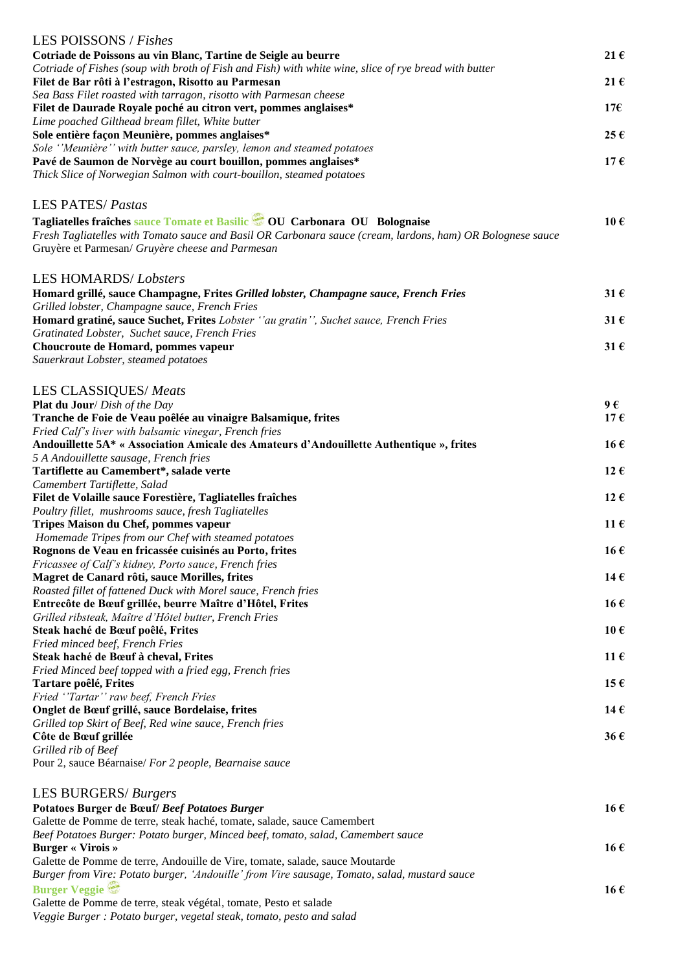| LES POISSONS / Fishes                                                                                                                                          |                   |
|----------------------------------------------------------------------------------------------------------------------------------------------------------------|-------------------|
| Cotriade de Poissons au vin Blanc, Tartine de Seigle au beurre                                                                                                 | $21 \in$          |
| Cotriade of Fishes (soup with broth of Fish and Fish) with white wine, slice of rye bread with butter<br>Filet de Bar rôti à l'estragon, Risotto au Parmesan   | 21 $\epsilon$     |
| Sea Bass Filet roasted with tarragon, risotto with Parmesan cheese                                                                                             |                   |
| Filet de Daurade Royale poché au citron vert, pommes anglaises*                                                                                                | 17 $\epsilon$     |
| Lime poached Gilthead bream fillet, White butter<br>Sole entière façon Meunière, pommes anglaises*                                                             | 25€               |
| Sole "Meunière" with butter sauce, parsley, lemon and steamed potatoes                                                                                         |                   |
| Pavé de Saumon de Norvège au court bouillon, pommes anglaises*                                                                                                 | 17€               |
| Thick Slice of Norwegian Salmon with court-bouillon, steamed potatoes                                                                                          |                   |
| <b>LES PATES/ Pastas</b>                                                                                                                                       |                   |
| Tagliatelles fraîches sauce Tomate et Basilic COU Carbonara OU Bolognaise                                                                                      | 10€               |
| Fresh Tagliatelles with Tomato sauce and Basil OR Carbonara sauce (cream, lardons, ham) OR Bolognese sauce<br>Gruyère et Parmesan/ Gruyère cheese and Parmesan |                   |
| <b>LES HOMARDS/Lobsters</b>                                                                                                                                    |                   |
| Homard grillé, sauce Champagne, Frites Grilled lobster, Champagne sauce, French Fries                                                                          | 31 $\epsilon$     |
| Grilled lobster, Champagne sauce, French Fries                                                                                                                 |                   |
| Homard gratiné, sauce Suchet, Frites Lobster "au gratin", Suchet sauce, French Fries<br>Gratinated Lobster, Suchet sauce, French Fries                         | $31 \text{ } \in$ |
| Choucroute de Homard, pommes vapeur                                                                                                                            | $31 \text{ } \in$ |
| Sauerkraut Lobster, steamed potatoes                                                                                                                           |                   |
| LES CLASSIQUES/ Meats                                                                                                                                          |                   |
| <b>Plat du Jour</b> / Dish of the Day                                                                                                                          | 9€                |
| Tranche de Foie de Veau poêlée au vinaigre Balsamique, frites                                                                                                  | 17€               |
| Fried Calf's liver with balsamic vinegar, French fries<br>Andouillette 5A* « Association Amicale des Amateurs d'Andouillette Authentique », frites             | 16€               |
| 5 A Andouillette sausage, French fries                                                                                                                         |                   |
| Tartiflette au Camembert*, salade verte                                                                                                                        | 12 $\epsilon$     |
| Camembert Tartiflette, Salad<br>Filet de Volaille sauce Forestière, Tagliatelles fraîches                                                                      | 12 $\epsilon$     |
| Poultry fillet, mushrooms sauce, fresh Tagliatelles                                                                                                            |                   |
| Tripes Maison du Chef, pommes vapeur                                                                                                                           | 11 $\epsilon$     |
| Homemade Tripes from our Chef with steamed potatoes<br>Rognons de Veau en fricassée cuisinés au Porto, frites                                                  | 16€               |
| Fricassee of Calf's kidney, Porto sauce, French fries                                                                                                          |                   |
| Magret de Canard rôti, sauce Morilles, frites                                                                                                                  | 14€               |
| Roasted fillet of fattened Duck with Morel sauce, French fries<br>Entrecôte de Bœuf grillée, beurre Maître d'Hôtel, Frites                                     | 16€               |
| Grilled ribsteak, Maître d'Hôtel butter, French Fries                                                                                                          |                   |
| Steak haché de Bœuf poêlé, Frites                                                                                                                              | $10 \text{ } \in$ |
| Fried minced beef, French Fries                                                                                                                                |                   |
| Steak haché de Bœuf à cheval, Frites<br>Fried Minced beef topped with a fried egg, French fries                                                                | 11 $\epsilon$     |
| Tartare poêlé, Frites                                                                                                                                          | 15 $\epsilon$     |
| Fried "Tartar" raw beef, French Fries                                                                                                                          |                   |
| Onglet de Bœuf grillé, sauce Bordelaise, frites<br>Grilled top Skirt of Beef, Red wine sauce, French fries                                                     | 14 $\epsilon$     |
| Côte de Bœuf grillée                                                                                                                                           | 36€               |
| Grilled rib of Beef                                                                                                                                            |                   |
| Pour 2, sauce Béarnaise/ For 2 people, Bearnaise sauce                                                                                                         |                   |
| LES BURGERS/ Burgers                                                                                                                                           |                   |
| Potatoes Burger de Bœuf/ Beef Potatoes Burger                                                                                                                  | 16€               |
| Galette de Pomme de terre, steak haché, tomate, salade, sauce Camembert<br>Beef Potatoes Burger: Potato burger, Minced beef, tomato, salad, Camembert sauce    |                   |
| <b>Burger « Virois »</b>                                                                                                                                       | 16€               |
| Galette de Pomme de terre, Andouille de Vire, tomate, salade, sauce Moutarde                                                                                   |                   |
| Burger from Vire: Potato burger, 'Andouille' from Vire sausage, Tomato, salad, mustard sauce<br><b>Burger Veggie</b>                                           | 16€               |
| Galette de Pomme de terre, steak végétal, tomate, Pesto et salade                                                                                              |                   |
| Veggie Burger: Potato burger, vegetal steak, tomato, pesto and salad                                                                                           |                   |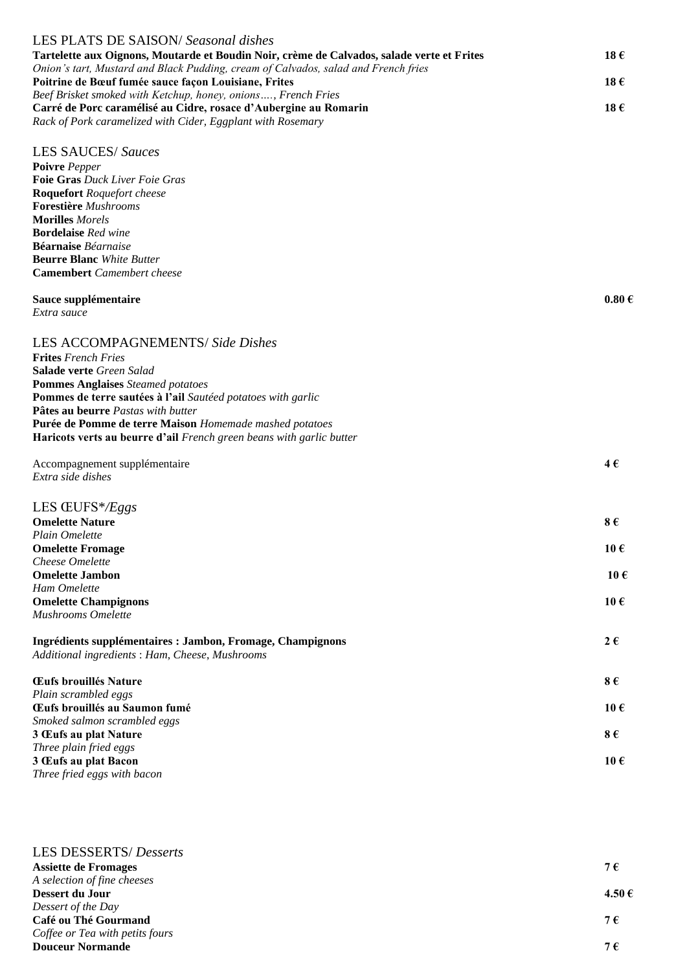| LES PLATS DE SAISON/Seasonal dishes                                                        |                       |
|--------------------------------------------------------------------------------------------|-----------------------|
| Tartelette aux Oignons, Moutarde et Boudin Noir, crème de Calvados, salade verte et Frites | 18 €                  |
| Onion's tart, Mustard and Black Pudding, cream of Calvados, salad and French fries         |                       |
| Poitrine de Bœuf fumée sauce façon Louisiane, Frites                                       | 18 $\epsilon$         |
| Beef Brisket smoked with Ketchup, honey, onions, French Fries                              |                       |
| Carré de Porc caramélisé au Cidre, rosace d'Aubergine au Romarin                           | 18€                   |
| Rack of Pork caramelized with Cider, Eggplant with Rosemary                                |                       |
| <b>LES SAUCES/ Sauces</b>                                                                  |                       |
| Poivre Pepper                                                                              |                       |
| Foie Gras Duck Liver Foie Gras                                                             |                       |
| <b>Roquefort</b> Roquefort cheese                                                          |                       |
| <b>Forestière</b> Mushrooms                                                                |                       |
| <b>Morilles</b> Morels                                                                     |                       |
| <b>Bordelaise</b> Red wine                                                                 |                       |
| Béarnaise Béarnaise                                                                        |                       |
| <b>Beurre Blanc</b> White Butter                                                           |                       |
| <b>Camembert</b> Camembert cheese                                                          |                       |
| Sauce supplémentaire                                                                       | $0.80 \in$            |
| Extra sauce                                                                                |                       |
|                                                                                            |                       |
| LES ACCOMPAGNEMENTS/ Side Dishes                                                           |                       |
| <b>Frites</b> French Fries                                                                 |                       |
| <b>Salade verte</b> Green Salad                                                            |                       |
| <b>Pommes Anglaises</b> Steamed potatoes                                                   |                       |
| Pommes de terre sautées à l'ail Sautéed potatoes with garlic                               |                       |
| Pâtes au beurre Pastas with butter                                                         |                       |
| Purée de Pomme de terre Maison Homemade mashed potatoes                                    |                       |
| Haricots verts au beurre d'ail French green beans with garlic butter                       |                       |
| Accompagnement supplémentaire                                                              | 4€                    |
| Extra side dishes                                                                          |                       |
|                                                                                            |                       |
| LES ŒUFS*/ $E$ ggs                                                                         |                       |
| <b>Omelette Nature</b>                                                                     | 8€                    |
| Plain Omelette                                                                             |                       |
| <b>Omelette Fromage</b>                                                                    | $10 \text{ }\epsilon$ |
| <b>Cheese Omelette</b>                                                                     |                       |
| <b>Omelette Jambon</b>                                                                     | $10 \text{ } \in$     |
| Ham Omelette<br><b>Omelette Champignons</b>                                                | $10 \text{ }\epsilon$ |
| <b>Mushrooms Omelette</b>                                                                  |                       |
|                                                                                            |                       |
| Ingrédients supplémentaires : Jambon, Fromage, Champignons                                 | $2 \epsilon$          |
| Additional ingredients: Ham, Cheese, Mushrooms                                             |                       |
| Œufs brouillés Nature                                                                      | 8€                    |
| Plain scrambled eggs                                                                       |                       |
| Œufs brouillés au Saumon fumé                                                              | $10 \text{ } \in$     |
| Smoked salmon scrambled eggs                                                               |                       |
| 3 Œufs au plat Nature                                                                      | 8€                    |
| Three plain fried eggs                                                                     | $10 \in$              |
| 3 Œufs au plat Bacon<br>Three fried eggs with bacon                                        |                       |
|                                                                                            |                       |

| <b>LES DESSERTS/</b> Desserts   |        |
|---------------------------------|--------|
| <b>Assiette de Fromages</b>     | 7€     |
| A selection of fine cheeses     |        |
| Dessert du Jour                 | 4.50 € |
| Dessert of the Day              |        |
| Café ou Thé Gourmand            | 7€     |
| Coffee or Tea with petits fours |        |
| <b>Douceur Normande</b>         | 7€     |